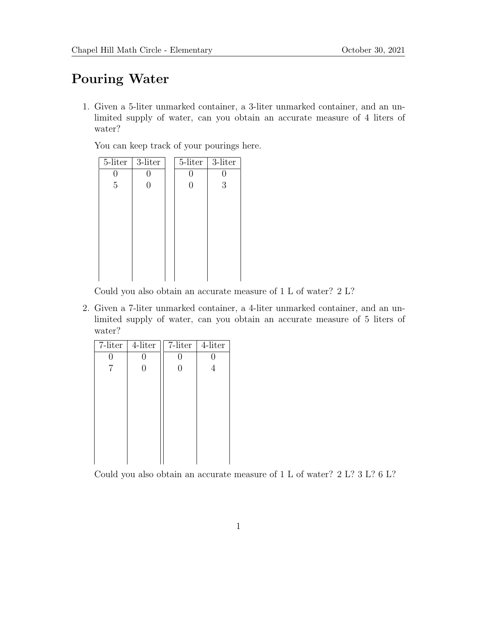## Pouring Water

1. Given a 5-liter unmarked container, a 3-liter unmarked container, and an unlimited supply of water, can you obtain an accurate measure of 4 liters of water?

You can keep track of your pourings here.

| $5$ -liter     | 3-liter | 5-liter | 3-liter |
|----------------|---------|---------|---------|
| 0              |         | 0       |         |
| $\overline{5}$ | 0       | 0       | 3       |
|                |         |         |         |
|                |         |         |         |
|                |         |         |         |
|                |         |         |         |
|                |         |         |         |
|                |         |         |         |
|                |         |         |         |
|                |         |         |         |

Could you also obtain an accurate measure of 1 L of water? 2 L?

2. Given a 7-liter unmarked container, a 4-liter unmarked container, and an unlimited supply of water, can you obtain an accurate measure of 5 liters of water?

| $7$ -liter | $4$ -liter | $7$ -liter | $4$ -liter |
|------------|------------|------------|------------|
| 0          | 0          | 0          | 0          |
| 7          | 0          | 0          |            |
|            |            |            |            |
|            |            |            |            |
|            |            |            |            |
|            |            |            |            |
|            |            |            |            |
|            |            |            |            |
|            |            |            |            |
|            |            |            |            |
|            |            |            |            |

Could you also obtain an accurate measure of 1 L of water? 2 L? 3 L? 6 L?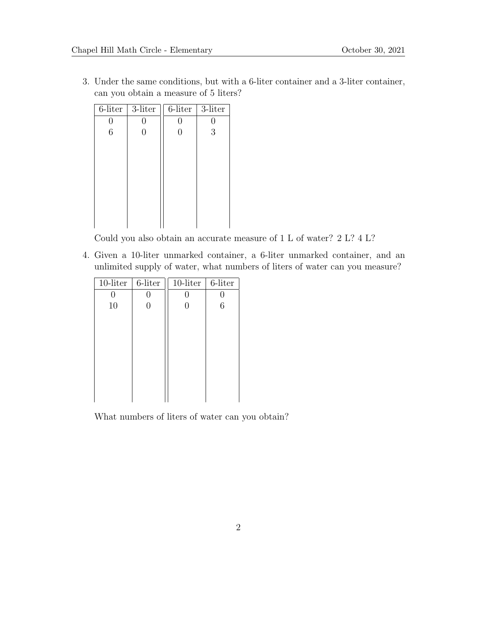3. Under the same conditions, but with a 6-liter container and a 3-liter container, can you obtain a measure of 5 liters?

| $6$ -liter | 3-liter | 6-liter | 3-liter |
|------------|---------|---------|---------|
| 0          |         | O       | 0       |
| 6          |         | 0       | 3       |
|            |         |         |         |
|            |         |         |         |
|            |         |         |         |
|            |         |         |         |
|            |         |         |         |
|            |         |         |         |
|            |         |         |         |
|            |         |         |         |

Could you also obtain an accurate measure of 1 L of water? 2 L? 4 L?

4. Given a 10-liter unmarked container, a 6-liter unmarked container, and an unlimited supply of water, what numbers of liters of water can you measure?

| 6-liter | $10$ -liter | 6-liter |
|---------|-------------|---------|
|         |             |         |
|         |             | 6       |
|         |             |         |
|         |             |         |
|         |             |         |
|         |             |         |
|         |             |         |
|         |             |         |
|         |             |         |
|         |             |         |
|         |             |         |

What numbers of liters of water can you obtain?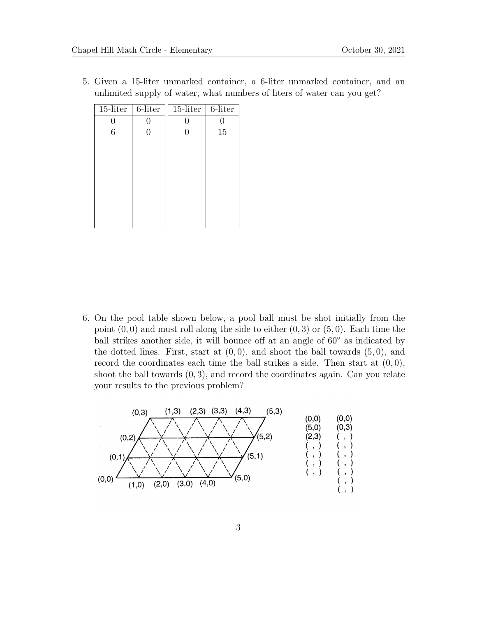5. Given a 15-liter unmarked container, a 6-liter unmarked container, and an unlimited supply of water, what numbers of liters of water can you get?

| $15$ -liter | 6-liter | $15$ -liter    | 6-liter |
|-------------|---------|----------------|---------|
| 0           | 0       | O              | O       |
| 6           | 0       | $\overline{0}$ | 15      |
|             |         |                |         |
|             |         |                |         |
|             |         |                |         |
|             |         |                |         |
|             |         |                |         |
|             |         |                |         |
|             |         |                |         |
|             |         |                |         |

6. On the pool table shown below, a pool ball must be shot initially from the point  $(0, 0)$  and must roll along the side to either  $(0, 3)$  or  $(5, 0)$ . Each time the ball strikes another side, it will bounce off at an angle of 60◦ as indicated by the dotted lines. First, start at  $(0,0)$ , and shoot the ball towards  $(5,0)$ , and record the coordinates each time the ball strikes a side. Then start at  $(0, 0)$ , shoot the ball towards  $(0, 3)$ , and record the coordinates again. Can you relate your results to the previous problem?

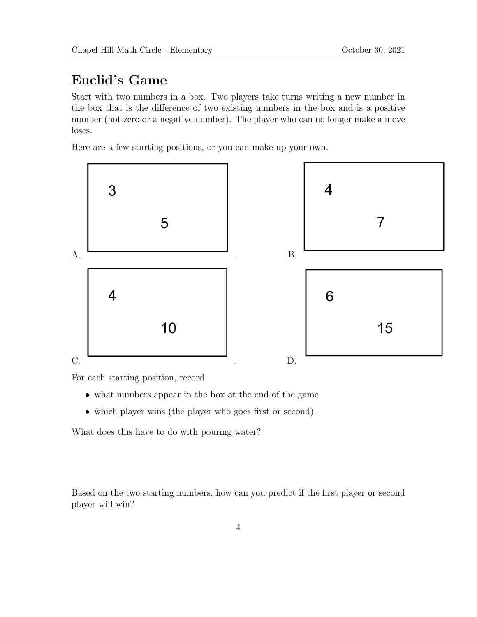## Euclid's Game

Start with two numbers in a box. Two players take turns writing a new number in the box that is the difference of two existing numbers in the box and is a positive number (not zero or a negative number). The player who can no longer make a move loses.

Here are a few starting positions, or you can make up your own.



For each starting position, record

- what numbers appear in the box at the end of the game
- which player wins (the player who goes first or second)

What does this have to do with pouring water?

Based on the two starting numbers, how can you predict if the first player or second player will win?